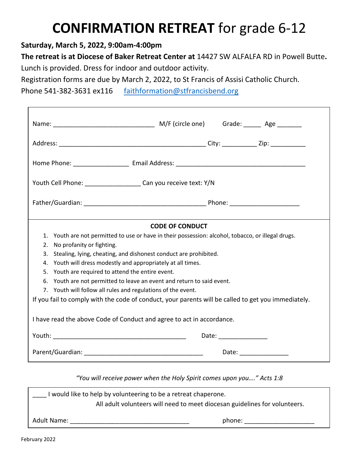## **CONFIRMATION RETREAT** for grade 6-12

**Saturday, March 5, 2022, 9:00am-4:00pm**

**The retreat is at Diocese of Baker Retreat Center at** 14427 SW ALFALFA RD in Powell Butte**.**  Lunch is provided. Dress for indoor and outdoor activity.

Registration forms are due by March 2, 2022, to St Francis of Assisi Catholic Church.

Phone 541-382-3631 ex116 [faithformation@stfrancisbend.org](mailto:faithformation@stfrancisbend.org)

| Youth Cell Phone: ________________________ Can you receive text: Y/N                                                                   |                                                                                                     |  |
|----------------------------------------------------------------------------------------------------------------------------------------|-----------------------------------------------------------------------------------------------------|--|
|                                                                                                                                        |                                                                                                     |  |
|                                                                                                                                        | <b>CODE OF CONDUCT</b>                                                                              |  |
| 1. Youth are not permitted to use or have in their possession: alcohol, tobacco, or illegal drugs.                                     |                                                                                                     |  |
| No profanity or fighting.<br>2.                                                                                                        |                                                                                                     |  |
| Stealing, lying, cheating, and dishonest conduct are prohibited.<br>3.                                                                 |                                                                                                     |  |
| Youth will dress modestly and appropriately at all times.<br>4.                                                                        |                                                                                                     |  |
| Youth are required to attend the entire event.<br>5.                                                                                   |                                                                                                     |  |
| 6. Youth are not permitted to leave an event and return to said event.<br>7. Youth will follow all rules and regulations of the event. |                                                                                                     |  |
|                                                                                                                                        | If you fail to comply with the code of conduct, your parents will be called to get you immediately. |  |
| I have read the above Code of Conduct and agree to act in accordance.                                                                  |                                                                                                     |  |
|                                                                                                                                        |                                                                                                     |  |
|                                                                                                                                        | Date: ________________                                                                              |  |

| I would like to help by volunteering to be a retreat chaperone.            |        |  |  |
|----------------------------------------------------------------------------|--------|--|--|
| All adult volunteers will need to meet diocesan guidelines for volunteers. |        |  |  |
| Adult Name:                                                                | phone: |  |  |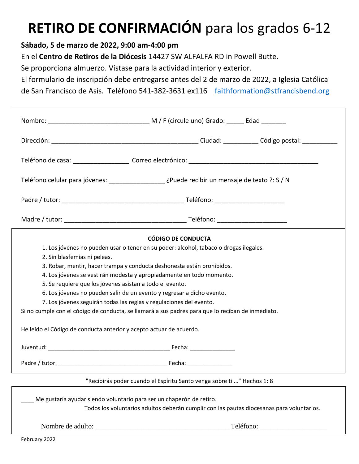# **RETIRO DE CONFIRMACIÓN** para los grados 6-12

### **Sábado, 5 de marzo de 2022, 9:00 am-4:00 pm**

En el **Centro de Retiros de la Diócesis** 14427 SW ALFALFA RD in Powell Butte**.** 

Se proporciona almuerzo. Vístase para la actividad interior y exterior.

El formulario de inscripción debe entregarse antes del 2 de marzo de 2022, a Iglesia Católica

de San Francisco de Asís. Teléfono 541-382-3631 ex116 [faithformation@stfrancisbend.org](mailto:faithformation@stfrancisbend.org)

|                                                                                                   | CÓDIGO DE CONDUCTA                                                                                                                                                |  |  |  |
|---------------------------------------------------------------------------------------------------|-------------------------------------------------------------------------------------------------------------------------------------------------------------------|--|--|--|
| 1. Los jóvenes no pueden usar o tener en su poder: alcohol, tabaco o drogas ilegales.             |                                                                                                                                                                   |  |  |  |
| 2. Sin blasfemias ni peleas.                                                                      |                                                                                                                                                                   |  |  |  |
|                                                                                                   | 3. Robar, mentir, hacer trampa y conducta deshonesta están prohibidos.                                                                                            |  |  |  |
|                                                                                                   | 4. Los jóvenes se vestirán modesta y apropiadamente en todo momento.                                                                                              |  |  |  |
| 5. Se requiere que los jóvenes asistan a todo el evento.                                          |                                                                                                                                                                   |  |  |  |
| 6. Los jóvenes no pueden salir de un evento y regresar a dicho evento.                            |                                                                                                                                                                   |  |  |  |
| 7. Los jóvenes seguirán todas las reglas y regulaciones del evento.                               |                                                                                                                                                                   |  |  |  |
| Si no cumple con el código de conducta, se llamará a sus padres para que lo reciban de inmediato. |                                                                                                                                                                   |  |  |  |
| He leído el Código de conducta anterior y acepto actuar de acuerdo.                               |                                                                                                                                                                   |  |  |  |
|                                                                                                   |                                                                                                                                                                   |  |  |  |
|                                                                                                   |                                                                                                                                                                   |  |  |  |
|                                                                                                   | "Recibirás poder cuando el Espíritu Santo venga sobre ti " Hechos 1: 8                                                                                            |  |  |  |
|                                                                                                   | Me gustaría ayudar siendo voluntario para ser un chaperón de retiro.<br>Todos los voluntarios adultos deberán cumplir con las pautas diocesanas para voluntarios. |  |  |  |

Nombre de adulto: \_\_\_\_\_\_\_\_\_\_\_\_\_\_\_\_\_\_\_\_\_\_\_\_\_\_\_\_\_\_\_\_\_\_\_\_\_\_ Teléfono: \_\_\_\_\_\_\_\_\_\_\_\_\_\_\_\_\_\_\_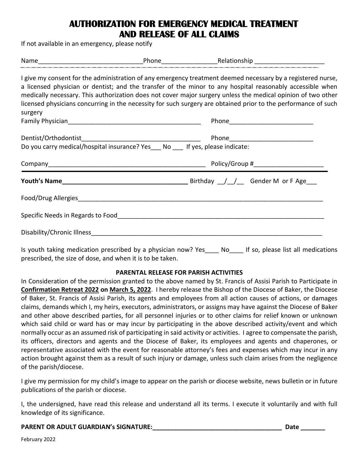## **AUTHORIZATION FOR EMERGENCY MEDICAL TREATMENT AND RELEASE OF ALL CLAIMS**

If not available in an emergency, please notify

|                                                                          | Phone Relationship Phone Phone                                                                                                                                                                                                                                                                                                                                                                                                                             |  |
|--------------------------------------------------------------------------|------------------------------------------------------------------------------------------------------------------------------------------------------------------------------------------------------------------------------------------------------------------------------------------------------------------------------------------------------------------------------------------------------------------------------------------------------------|--|
| surgery                                                                  | I give my consent for the administration of any emergency treatment deemed necessary by a registered nurse,<br>a licensed physician or dentist; and the transfer of the minor to any hospital reasonably accessible when<br>medically necessary. This authorization does not cover major surgery unless the medical opinion of two other<br>licensed physicians concurring in the necessity for such surgery are obtained prior to the performance of such |  |
|                                                                          |                                                                                                                                                                                                                                                                                                                                                                                                                                                            |  |
| Do you carry medical/hospital insurance? Yes No If yes, please indicate: |                                                                                                                                                                                                                                                                                                                                                                                                                                                            |  |
|                                                                          |                                                                                                                                                                                                                                                                                                                                                                                                                                                            |  |
|                                                                          |                                                                                                                                                                                                                                                                                                                                                                                                                                                            |  |
|                                                                          |                                                                                                                                                                                                                                                                                                                                                                                                                                                            |  |
|                                                                          |                                                                                                                                                                                                                                                                                                                                                                                                                                                            |  |
| Disability/Chronic Illness <b>Example 2</b>                              |                                                                                                                                                                                                                                                                                                                                                                                                                                                            |  |

Is youth taking medication prescribed by a physician now? Yes No If so, please list all medications prescribed, the size of dose, and when it is to be taken.

#### **PARENTAL RELEASE FOR PARISH ACTIVITIES**

In Consideration of the permission granted to the above named by St. Francis of Assisi Parish to Participate in **Confirmation Retreat 2022 on March 5, 2022**. I hereby release the Bishop of the Diocese of Baker, the Diocese of Baker, St. Francis of Assisi Parish, its agents and employees from all action causes of actions, or damages claims, demands which I, my heirs, executors, administrators, or assigns may have against the Diocese of Baker and other above described parties, for all personnel injuries or to other claims for relief known or unknown which said child or ward has or may incur by participating in the above described activity/event and which normally occur as an assumed risk of participating in said activity or activities. I agree to compensate the parish, its officers, directors and agents and the Diocese of Baker, its employees and agents and chaperones, or representative associated with the event for reasonable attorney's fees and expenses which may incur in any action brought against them as a result of such injury or damage, unless such claim arises from the negligence of the parish/diocese.

I give my permission for my child's image to appear on the parish or diocese website, news bulletin or in future publications of the parish or diocese.

I, the undersigned, have read this release and understand all its terms. I execute it voluntarily and with full knowledge of its significance.

#### **PARENT OR ADULT GUARDIAN's SIGNATURE:\_\_\_\_\_\_\_\_\_\_\_\_\_\_\_\_\_\_\_\_\_\_\_\_\_\_\_\_\_\_\_\_\_\_\_\_\_ Date \_\_\_\_\_\_\_**